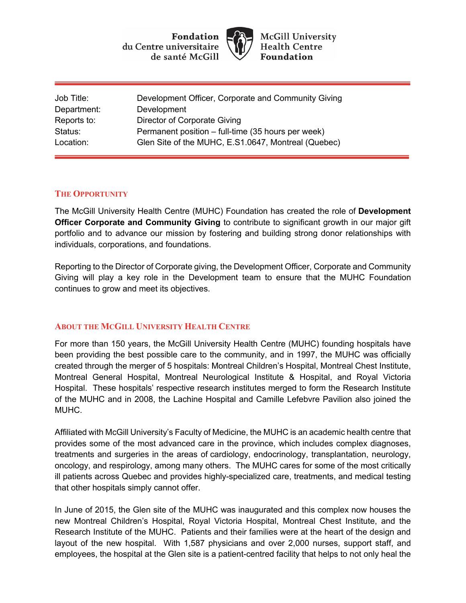**Fondation** du Centre universitaire de santé McGill



**McGill University Health Centre Foundation** 

| Job Title:  | Development Officer, Corporate and Community Giving |
|-------------|-----------------------------------------------------|
| Department: | Development                                         |
| Reports to: | Director of Corporate Giving                        |
| Status:     | Permanent position – full-time (35 hours per week)  |
| Location:   | Glen Site of the MUHC, E.S1.0647, Montreal (Quebec) |

## **THE OPPORTUNITY**

The McGill University Health Centre (MUHC) Foundation has created the role of **Development Officer Corporate and Community Giving** to contribute to significant growth in our major gift portfolio and to advance our mission by fostering and building strong donor relationships with individuals, corporations, and foundations.

Reporting to the Director of Corporate giving, the Development Officer, Corporate and Community Giving will play a key role in the Development team to ensure that the MUHC Foundation continues to grow and meet its objectives.

# **ABOUT THE MCGILL UNIVERSITY HEALTH CENTRE**

For more than 150 years, the McGill University Health Centre (MUHC) founding hospitals have been providing the best possible care to the community, and in 1997, the MUHC was officially created through the merger of 5 hospitals: Montreal Children's Hospital, Montreal Chest Institute, Montreal General Hospital, Montreal Neurological Institute & Hospital, and Royal Victoria Hospital. These hospitals' respective research institutes merged to form the Research Institute of the MUHC and in 2008, the Lachine Hospital and Camille Lefebvre Pavilion also joined the MUHC.

Affiliated with McGill University's Faculty of Medicine, the MUHC is an academic health centre that provides some of the most advanced care in the province, which includes complex diagnoses, treatments and surgeries in the areas of cardiology, endocrinology, transplantation, neurology, oncology, and respirology, among many others. The MUHC cares for some of the most critically ill patients across Quebec and provides highly-specialized care, treatments, and medical testing that other hospitals simply cannot offer.

In June of 2015, the Glen site of the MUHC was inaugurated and this complex now houses the new Montreal Children's Hospital, Royal Victoria Hospital, Montreal Chest Institute, and the Research Institute of the MUHC. Patients and their families were at the heart of the design and layout of the new hospital. With 1,587 physicians and over 2,000 nurses, support staff, and employees, the hospital at the Glen site is a patient-centred facility that helps to not only heal the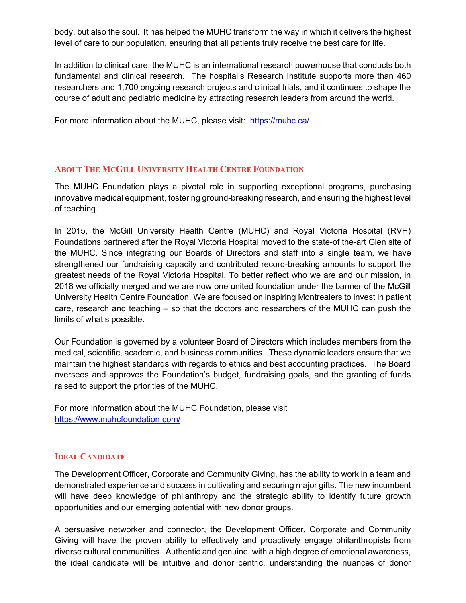body, but also the soul. It has helped the MUHC transform the way in which it delivers the highest level of care to our population, ensuring that all patients truly receive the best care for life.

In addition to clinical care, the MUHC is an international research powerhouse that conducts both fundamental and clinical research. The hospital's Research Institute supports more than 460 researchers and 1,700 ongoing research projects and clinical trials, and it continues to shape the course of adult and pediatric medicine by attracting research leaders from around the world.

For more information about the MUHC, please visit: https://muhc.ca/

# **ABOUT THE MCGILL UNIVERSITY HEALTH CENTRE FOUNDATION**

The MUHC Foundation plays a pivotal role in supporting exceptional programs, purchasing innovative medical equipment, fostering ground-breaking research, and ensuring the highest level of teaching.

In 2015, the McGill University Health Centre (MUHC) and Royal Victoria Hospital (RVH) Foundations partnered after the Royal Victoria Hospital moved to the state-of the-art Glen site of the MUHC. Since integrating our Boards of Directors and staff into a single team, we have strengthened our fundraising capacity and contributed record-breaking amounts to support the greatest needs of the Royal Victoria Hospital. To better reflect who we are and our mission, in 2018 we officially merged and we are now one united foundation under the banner of the McGill University Health Centre Foundation. We are focused on inspiring Montrealers to invest in patient care, research and teaching – so that the doctors and researchers of the MUHC can push the limits of what's possible.

Our Foundation is governed by a volunteer Board of Directors which includes members from the medical, scientific, academic, and business communities. These dynamic leaders ensure that we maintain the highest standards with regards to ethics and best accounting practices. The Board oversees and approves the Foundation's budget, fundraising goals, and the granting of funds raised to support the priorities of the MUHC.

For more information about the MUHC Foundation, please visit https://www.muhcfoundation.com/

#### **IDEAL CANDIDATE**

The Development Officer, Corporate and Community Giving, has the ability to work in a team and demonstrated experience and success in cultivating and securing major gifts. The new incumbent will have deep knowledge of philanthropy and the strategic ability to identify future growth opportunities and our emerging potential with new donor groups.

A persuasive networker and connector, the Development Officer, Corporate and Community Giving will have the proven ability to effectively and proactively engage philanthropists from diverse cultural communities. Authentic and genuine, with a high degree of emotional awareness, the ideal candidate will be intuitive and donor centric, understanding the nuances of donor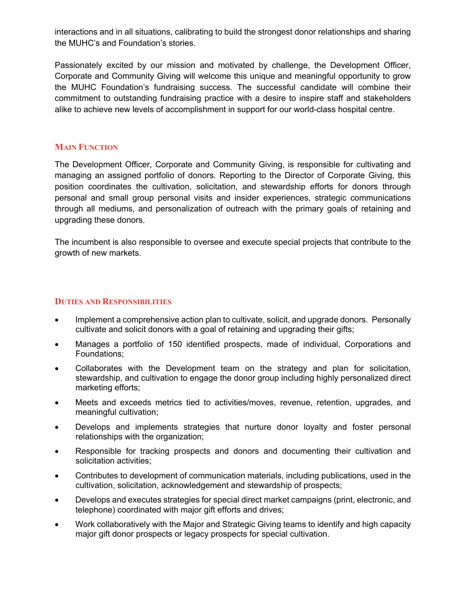interactions and in all situations, calibrating to build the strongest donor relationships and sharing the MUHC's and Foundation's stories.

Passionately excited by our mission and motivated by challenge, the Development Officer, Corporate and Community Giving will welcome this unique and meaningful opportunity to grow the MUHC Foundation's fundraising success. The successful candidate will combine their commitment to outstanding fundraising practice with a desire to inspire staff and stakeholders alike to achieve new levels of accomplishment in support for our world-class hospital centre.

### **MAIN FUNCTION**

The Development Officer, Corporate and Community Giving, is responsible for cultivating and managing an assigned portfolio of donors. Reporting to the Director of Corporate Giving, this position coordinates the cultivation, solicitation, and stewardship efforts for donors through personal and small group personal visits and insider experiences, strategic communications through all mediums, and personalization of outreach with the primary goals of retaining and upgrading these donors.

The incumbent is also responsible to oversee and execute special projects that contribute to the growth of new markets.

#### **DUTIES AND RESPONSIBILITIES**

- Implement a comprehensive action plan to cultivate, solicit, and upgrade donors. Personally cultivate and solicit donors with a goal of retaining and upgrading their gifts;
- Manages a portfolio of 150 identified prospects, made of individual, Corporations and Foundations;
- Collaborates with the Development team on the strategy and plan for solicitation, stewardship, and cultivation to engage the donor group including highly personalized direct marketing efforts;
- Meets and exceeds metrics tied to activities/moves, revenue, retention, upgrades, and meaningful cultivation;
- Develops and implements strategies that nurture donor loyalty and foster personal relationships with the organization;
- Responsible for tracking prospects and donors and documenting their cultivation and solicitation activities;
- Contributes to development of communication materials, including publications, used in the cultivation, solicitation, acknowledgement and stewardship of prospects;
- Develops and executes strategies for special direct market campaigns (print, electronic, and telephone) coordinated with major gift efforts and drives;
- Work collaboratively with the Major and Strategic Giving teams to identify and high capacity major gift donor prospects or legacy prospects for special cultivation.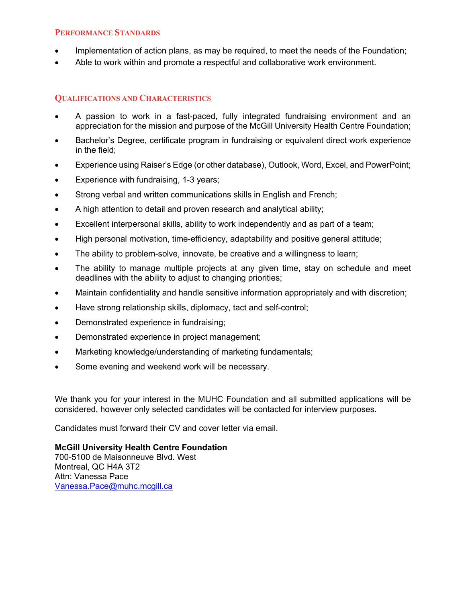#### **PERFORMANCE STANDARDS**

- Implementation of action plans, as may be required, to meet the needs of the Foundation;
- Able to work within and promote a respectful and collaborative work environment.

## **QUALIFICATIONS AND CHARACTERISTICS**

- A passion to work in a fast-paced, fully integrated fundraising environment and an appreciation for the mission and purpose of the McGill University Health Centre Foundation;
- Bachelor's Degree, certificate program in fundraising or equivalent direct work experience in the field;
- Experience using Raiser's Edge (or other database), Outlook, Word, Excel, and PowerPoint;
- Experience with fundraising, 1-3 years;
- Strong verbal and written communications skills in English and French;
- A high attention to detail and proven research and analytical ability;
- Excellent interpersonal skills, ability to work independently and as part of a team;
- High personal motivation, time-efficiency, adaptability and positive general attitude;
- The ability to problem-solve, innovate, be creative and a willingness to learn;
- The ability to manage multiple projects at any given time, stay on schedule and meet deadlines with the ability to adjust to changing priorities;
- Maintain confidentiality and handle sensitive information appropriately and with discretion;
- Have strong relationship skills, diplomacy, tact and self-control;
- Demonstrated experience in fundraising;
- Demonstrated experience in project management;
- Marketing knowledge/understanding of marketing fundamentals;
- Some evening and weekend work will be necessary.

We thank you for your interest in the MUHC Foundation and all submitted applications will be considered, however only selected candidates will be contacted for interview purposes.

Candidates must forward their CV and cover letter via email.

**McGill University Health Centre Foundation**

700-5100 de Maisonneuve Blvd. West Montreal, QC H4A 3T2 Attn: Vanessa Pace Vanessa.Pace@muhc.mcgill.ca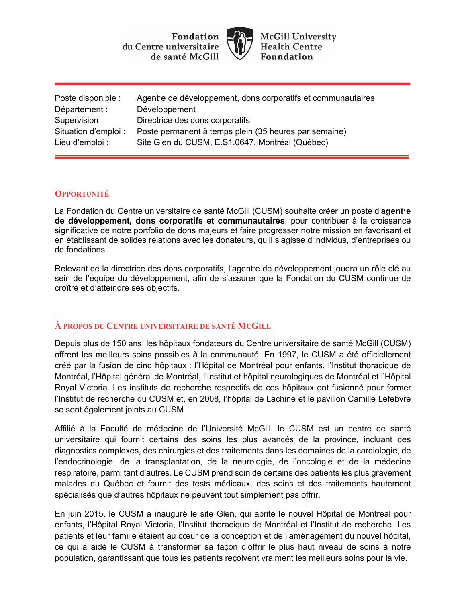Fondation du Centre universitaire de santé McGill



**McGill University Health Centre Foundation** 

| Poste disponible :   | Agent e de développement, dons corporatifs et communautaires |
|----------------------|--------------------------------------------------------------|
| Département :        | Développement                                                |
| Supervision:         | Directrice des dons corporatifs                              |
| Situation d'emploi : | Poste permanent à temps plein (35 heures par semaine)        |
| Lieu d'emploi :      | Site Glen du CUSM, E.S1.0647, Montréal (Québec)              |

#### **OPPORTUNITÉ**

La Fondation du Centre universitaire de santé McGill (CUSM) souhaite créer un poste d'**agent·e de développement, dons corporatifs et communautaires**, pour contribuer à la croissance significative de notre portfolio de dons majeurs et faire progresser notre mission en favorisant et en établissant de solides relations avec les donateurs, qu'il s'agisse d'individus, d'entreprises ou de fondations.

Relevant de la directrice des dons corporatifs, l'agent·e de développement jouera un rôle clé au sein de l'équipe du développement, afin de s'assurer que la Fondation du CUSM continue de croître et d'atteindre ses objectifs.

#### **À PROPOS DU CENTRE UNIVERSITAIRE DE SANTÉ MCGILL**

Depuis plus de 150 ans, les hôpitaux fondateurs du Centre universitaire de santé McGill (CUSM) offrent les meilleurs soins possibles à la communauté. En 1997, le CUSM a été officiellement créé par la fusion de cinq hôpitaux : l'Hôpital de Montréal pour enfants, l'Institut thoracique de Montréal, l'Hôpital général de Montréal, l'Institut et hôpital neurologiques de Montréal et l'Hôpital Royal Victoria. Les instituts de recherche respectifs de ces hôpitaux ont fusionné pour former l'Institut de recherche du CUSM et, en 2008, l'hôpital de Lachine et le pavillon Camille Lefebvre se sont également joints au CUSM.

Affilié à la Faculté de médecine de l'Université McGill, le CUSM est un centre de santé universitaire qui fournit certains des soins les plus avancés de la province, incluant des diagnostics complexes, des chirurgies et des traitements dans les domaines de la cardiologie, de l'endocrinologie, de la transplantation, de la neurologie, de l'oncologie et de la médecine respiratoire, parmi tant d'autres. Le CUSM prend soin de certains des patients les plus gravement malades du Québec et fournit des tests médicaux, des soins et des traitements hautement spécialisés que d'autres hôpitaux ne peuvent tout simplement pas offrir.

En juin 2015, le CUSM a inauguré le site Glen, qui abrite le nouvel Hôpital de Montréal pour enfants, l'Hôpital Royal Victoria, l'Institut thoracique de Montréal et l'Institut de recherche. Les patients et leur famille étaient au cœur de la conception et de l'aménagement du nouvel hôpital, ce qui a aidé le CUSM à transformer sa façon d'offrir le plus haut niveau de soins à notre population, garantissant que tous les patients reçoivent vraiment les meilleurs soins pour la vie.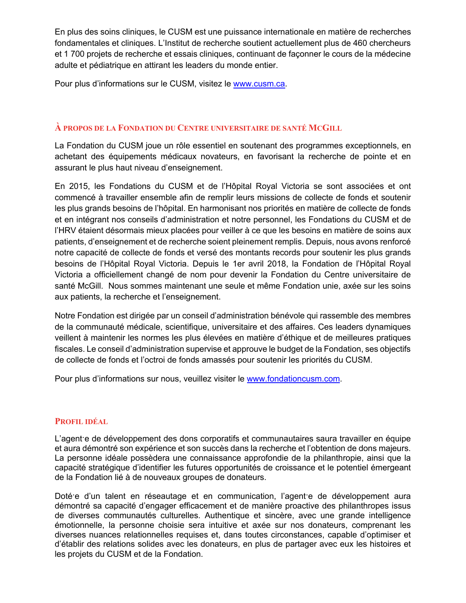En plus des soins cliniques, le CUSM est une puissance internationale en matière de recherches fondamentales et cliniques. L'Institut de recherche soutient actuellement plus de 460 chercheurs et 1 700 projets de recherche et essais cliniques, continuant de façonner le cours de la médecine adulte et pédiatrique en attirant les leaders du monde entier.

Pour plus d'informations sur le CUSM, visitez le www.cusm.ca.

# **À PROPOS DE LA FONDATION DU CENTRE UNIVERSITAIRE DE SANTÉ MCGILL**

La Fondation du CUSM joue un rôle essentiel en soutenant des programmes exceptionnels, en achetant des équipements médicaux novateurs, en favorisant la recherche de pointe et en assurant le plus haut niveau d'enseignement.

En 2015, les Fondations du CUSM et de l'Hôpital Royal Victoria se sont associées et ont commencé à travailler ensemble afin de remplir leurs missions de collecte de fonds et soutenir les plus grands besoins de l'hôpital. En harmonisant nos priorités en matière de collecte de fonds et en intégrant nos conseils d'administration et notre personnel, les Fondations du CUSM et de l'HRV étaient désormais mieux placées pour veiller à ce que les besoins en matière de soins aux patients, d'enseignement et de recherche soient pleinement remplis. Depuis, nous avons renforcé notre capacité de collecte de fonds et versé des montants records pour soutenir les plus grands besoins de l'Hôpital Royal Victoria. Depuis le 1er avril 2018, la Fondation de l'Hôpital Royal Victoria a officiellement changé de nom pour devenir la Fondation du Centre universitaire de santé McGill. Nous sommes maintenant une seule et même Fondation unie, axée sur les soins aux patients, la recherche et l'enseignement.

Notre Fondation est dirigée par un conseil d'administration bénévole qui rassemble des membres de la communauté médicale, scientifique, universitaire et des affaires. Ces leaders dynamiques veillent à maintenir les normes les plus élevées en matière d'éthique et de meilleures pratiques fiscales. Le conseil d'administration supervise et approuve le budget de la Fondation, ses objectifs de collecte de fonds et l'octroi de fonds amassés pour soutenir les priorités du CUSM.

Pour plus d'informations sur nous, veuillez visiter le www.fondationcusm.com.

#### **PROFIL IDÉAL**

L'agent·e de développement des dons corporatifs et communautaires saura travailler en équipe et aura démontré son expérience et son succès dans la recherche et l'obtention de dons majeurs. La personne idéale possèdera une connaissance approfondie de la philanthropie, ainsi que la capacité stratégique d'identifier les futures opportunités de croissance et le potentiel émergeant de la Fondation lié à de nouveaux groupes de donateurs.

Dotée d'un talent en réseautage et en communication, l'agente de développement aura démontré sa capacité d'engager efficacement et de manière proactive des philanthropes issus de diverses communautés culturelles. Authentique et sincère, avec une grande intelligence émotionnelle, la personne choisie sera intuitive et axée sur nos donateurs, comprenant les diverses nuances relationnelles requises et, dans toutes circonstances, capable d'optimiser et d'établir des relations solides avec les donateurs, en plus de partager avec eux les histoires et les projets du CUSM et de la Fondation.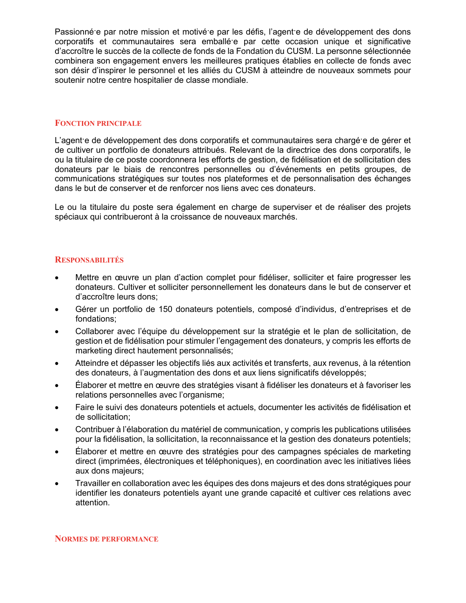Passionné·e par notre mission et motivé·e par les défis, l'agent·e de développement des dons corporatifs et communautaires sera emballé·e par cette occasion unique et significative d'accroître le succès de la collecte de fonds de la Fondation du CUSM. La personne sélectionnée combinera son engagement envers les meilleures pratiques établies en collecte de fonds avec son désir d'inspirer le personnel et les alliés du CUSM à atteindre de nouveaux sommets pour soutenir notre centre hospitalier de classe mondiale.

#### **FONCTION PRINCIPALE**

L'agent·e de développement des dons corporatifs et communautaires sera chargé·e de gérer et de cultiver un portfolio de donateurs attribués. Relevant de la directrice des dons corporatifs, le ou la titulaire de ce poste coordonnera les efforts de gestion, de fidélisation et de sollicitation des donateurs par le biais de rencontres personnelles ou d'événements en petits groupes, de communications stratégiques sur toutes nos plateformes et de personnalisation des échanges dans le but de conserver et de renforcer nos liens avec ces donateurs.

Le ou la titulaire du poste sera également en charge de superviser et de réaliser des projets spéciaux qui contribueront à la croissance de nouveaux marchés.

#### **RESPONSABILITÉS**

- Mettre en œuvre un plan d'action complet pour fidéliser, solliciter et faire progresser les donateurs. Cultiver et solliciter personnellement les donateurs dans le but de conserver et d'accroître leurs dons;
- Gérer un portfolio de 150 donateurs potentiels, composé d'individus, d'entreprises et de fondations;
- Collaborer avec l'équipe du développement sur la stratégie et le plan de sollicitation, de gestion et de fidélisation pour stimuler l'engagement des donateurs, y compris les efforts de marketing direct hautement personnalisés;
- Atteindre et dépasser les objectifs liés aux activités et transferts, aux revenus, à la rétention des donateurs, à l'augmentation des dons et aux liens significatifs développés;
- Élaborer et mettre en œuvre des stratégies visant à fidéliser les donateurs et à favoriser les relations personnelles avec l'organisme;
- Faire le suivi des donateurs potentiels et actuels, documenter les activités de fidélisation et de sollicitation;
- Contribuer à l'élaboration du matériel de communication, y compris les publications utilisées pour la fidélisation, la sollicitation, la reconnaissance et la gestion des donateurs potentiels;
- Élaborer et mettre en œuvre des stratégies pour des campagnes spéciales de marketing direct (imprimées, électroniques et téléphoniques), en coordination avec les initiatives liées aux dons majeurs;
- Travailler en collaboration avec les équipes des dons majeurs et des dons stratégiques pour identifier les donateurs potentiels ayant une grande capacité et cultiver ces relations avec attention.

#### **NORMES DE PERFORMANCE**